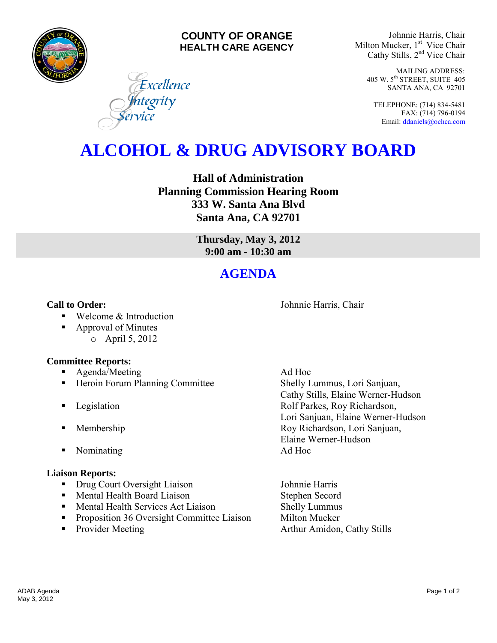

### **COUNTY OF ORANGE HEALTH CARE AGENCY**

Excellence

**I**ntegrity<br>ervice

Johnnie Harris, Chair Milton Mucker, 1<sup>st</sup> Vice Chair Cathy Stills, 2nd Vice Chair

> MAILING ADDRESS: 405 W. 5th STREET, SUITE 405 SANTA ANA, CA 92701

TELEPHONE: (714) 834-5481 FAX: (714) 796-0194 Email[: ddaniels@ochca.com](mailto:ddaniels@ochca.com)

# **ALCOHOL & DRUG ADVISORY BOARD**

**Hall of Administration Planning Commission Hearing Room 333 W. Santa Ana Blvd Santa Ana, CA 92701** 

> **Thursday, May 3, 2012 9:00 am - 10:30 am**

## **AGENDA**

**Call to Order: Call to Order: Johnnie Harris, Chair** 

- Welcome & Introduction
- Approval of Minutes o April 5, 2012

### **Committee Reports:**

- **Agenda/Meeting Ad Hoc**
- **Heroin Forum Planning Committee Shelly Lummus, Lori Sanjuan,**
- 
- 
- Nominating Ad Hoc

### **Liaison Reports:**

- Drug Court Oversight Liaison Johnnie Harris
- **Mental Health Board Liaison** Stephen Secord
- Mental Health Services Act Liaison Shelly Lummus
- **•** Proposition 36 Oversight Committee Liaison Milton Mucker
- 

 Cathy Stills, Elaine Werner-Hudson **Example 3** Legislation **Rolf Parkes, Roy Richardson,** Lori Sanjuan, Elaine Werner-Hudson **Membership Roy Richardson, Lori Sanjuan,** Elaine Werner-Hudson

• Provider Meeting **Arthur Amidon, Cathy Stills**